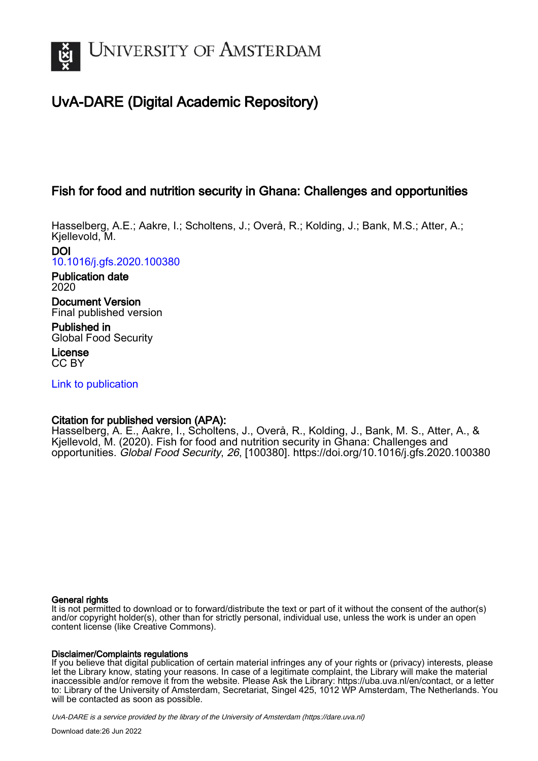

# UvA-DARE (Digital Academic Repository)

# Fish for food and nutrition security in Ghana: Challenges and opportunities

Hasselberg, A.E.; Aakre, I.; Scholtens, J.; Overå, R.; Kolding, J.; Bank, M.S.; Atter, A.; Kjellevold, M.

DOI [10.1016/j.gfs.2020.100380](https://doi.org/10.1016/j.gfs.2020.100380)

Publication date 2020

Document Version Final published version

Published in Global Food Security

License CC BY

[Link to publication](https://dare.uva.nl/personal/pure/en/publications/fish-for-food-and-nutrition-security-in-ghana-challenges-and-opportunities(c1a4e163-d54d-48ec-8b42-700eb6b06724).html)

## Citation for published version (APA):

Hasselberg, A. E., Aakre, I., Scholtens, J., Overå, R., Kolding, J., Bank, M. S., Atter, A., & Kjellevold, M. (2020). Fish for food and nutrition security in Ghana: Challenges and opportunities. Global Food Security, 26, [100380].<https://doi.org/10.1016/j.gfs.2020.100380>

## General rights

It is not permitted to download or to forward/distribute the text or part of it without the consent of the author(s) and/or copyright holder(s), other than for strictly personal, individual use, unless the work is under an open content license (like Creative Commons).

## Disclaimer/Complaints regulations

If you believe that digital publication of certain material infringes any of your rights or (privacy) interests, please let the Library know, stating your reasons. In case of a legitimate complaint, the Library will make the material inaccessible and/or remove it from the website. Please Ask the Library: https://uba.uva.nl/en/contact, or a letter to: Library of the University of Amsterdam, Secretariat, Singel 425, 1012 WP Amsterdam, The Netherlands. You will be contacted as soon as possible.

UvA-DARE is a service provided by the library of the University of Amsterdam (http*s*://dare.uva.nl)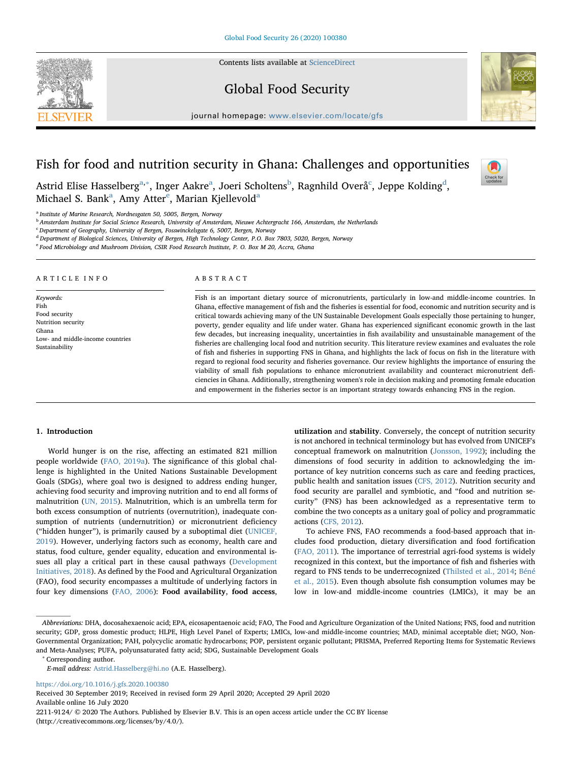Contents lists available at [ScienceDirect](http://www.sciencedirect.com/science/journal/22119124)





journal homepage: [www.elsevier.com/locate/gfs](https://www.elsevier.com/locate/gfs)

# Fish for food and nutrition security in Ghana: Challenges and opportunities

Check for<br>updates

Astrid Elise H[a](#page-1-0)ssel[b](#page-1-2)erg $^{\rm a, *},$  Inger Aakre $^{\rm a}$ , Joeri S[c](#page-1-3)holtens $^{\rm b}$ , Ragnhil[d](#page-1-4) Overå $^{\rm c}$ , Jeppe Kolding $^{\rm d}$ , Mich[a](#page-1-0)[e](#page-1-5)l S. Bank<sup>a</sup>, Amy Atter<sup>e</sup>, Marian Kjellevold<sup>a</sup>

<span id="page-1-0"></span><sup>a</sup> Institute of Marine Research, Nordnesgaten 50, 5005, Bergen, Norway

<span id="page-1-2"></span><sup>b</sup> Amsterdam Institute for Social Science Research, University of Amsterdam, Nieuwe Achtergracht 166, Amsterdam, the Netherlands

<span id="page-1-3"></span><sup>c</sup> Department of Geography, University of Bergen, Fosswinckelsgate 6, 5007, Bergen, Norway

<span id="page-1-4"></span><sup>d</sup> Department of Biological Sciences, University of Bergen, High Technology Center, P.O. Box 7803, 5020, Bergen, Norway

<span id="page-1-5"></span><sup>e</sup> Food Microbiology and Mushroom Division, CSIR Food Research Institute, P. O. Box M 20, Accra, Ghana

#### ARTICLE INFO

Keywords: Fish Food security Nutrition security Ghana Low- and middle-income countries Sustainability

#### ABSTRACT

Fish is an important dietary source of micronutrients, particularly in low-and middle-income countries. In Ghana, effective management of fish and the fisheries is essential for food, economic and nutrition security and is critical towards achieving many of the UN Sustainable Development Goals especially those pertaining to hunger, poverty, gender equality and life under water. Ghana has experienced significant economic growth in the last few decades, but increasing inequality, uncertainties in fish availability and unsustainable management of the fisheries are challenging local food and nutrition security. This literature review examines and evaluates the role of fish and fisheries in supporting FNS in Ghana, and highlights the lack of focus on fish in the literature with regard to regional food security and fisheries governance. Our review highlights the importance of ensuring the viability of small fish populations to enhance micronutrient availability and counteract micronutrient deficiencies in Ghana. Additionally, strengthening women's role in decision making and promoting female education and empowerment in the fisheries sector is an important strategy towards enhancing FNS in the region.

#### 1. Introduction

World hunger is on the rise, affecting an estimated 821 million people worldwide ([FAO, 2019a\)](#page-9-0). The significance of this global challenge is highlighted in the United Nations Sustainable Development Goals (SDGs), where goal two is designed to address ending hunger, achieving food security and improving nutrition and to end all forms of malnutrition ([UN, 2015](#page-10-0)). Malnutrition, which is an umbrella term for both excess consumption of nutrients (overnutrition), inadequate consumption of nutrients (undernutrition) or micronutrient deficiency ("hidden hunger"), is primarily caused by a suboptimal diet [\(UNICEF,](#page-10-1) [2019\)](#page-10-1). However, underlying factors such as economy, health care and status, food culture, gender equality, education and environmental issues all play a critical part in these causal pathways [\(Development](#page-9-1) [Initiatives, 2018\)](#page-9-1). As defined by the Food and Agricultural Organization (FAO), food security encompasses a multitude of underlying factors in four key dimensions ([FAO, 2006\)](#page-9-2): Food availability, food access,

utilization and stability. Conversely, the concept of nutrition security is not anchored in technical terminology but has evolved from UNICEF's conceptual framework on malnutrition [\(Jonsson, 1992](#page-9-3)); including the dimensions of food security in addition to acknowledging the importance of key nutrition concerns such as care and feeding practices, public health and sanitation issues [\(CFS, 2012](#page-8-0)). Nutrition security and food security are parallel and symbiotic, and "food and nutrition security" (FNS) has been acknowledged as a representative term to combine the two concepts as a unitary goal of policy and programmatic actions [\(CFS, 2012](#page-8-0)).

To achieve FNS, FAO recommends a food-based approach that includes food production, dietary diversification and food fortification ([FAO, 2011\)](#page-9-4). The importance of terrestrial agri-food systems is widely recognized in this context, but the importance of fish and fisheries with regard to FNS tends to be underrecognized [\(Thilsted et al., 2014;](#page-10-2) [Béné](#page-8-1) [et al., 2015\)](#page-8-1). Even though absolute fish consumption volumes may be low in low-and middle-income countries (LMICs), it may be an

<span id="page-1-1"></span><sup>∗</sup> Corresponding author.

<https://doi.org/10.1016/j.gfs.2020.100380>

Received 30 September 2019; Received in revised form 29 April 2020; Accepted 29 April 2020 Available online 16 July 2020 2211-9124/ © 2020 The Authors. Published by Elsevier B.V. This is an open access article under the CC BY license (http://creativecommons.org/licenses/by/4.0/).

Abbreviations: DHA, docosahexaenoic acid; EPA, eicosapentaenoic acid; FAO, The Food and Agriculture Organization of the United Nations; FNS, food and nutrition security; GDP, gross domestic product; HLPE, High Level Panel of Experts; LMICs, low-and middle-income countries; MAD, minimal acceptable diet; NGO, Non-Governmental Organization; PAH, polycyclic aromatic hydrocarbons; POP, persistent organic pollutant; PRISMA, Preferred Reporting Items for Systematic Reviews and Meta-Analyses; PUFA, polyunsaturated fatty acid; SDG, Sustainable Development Goals

E-mail address: [Astrid.Hasselberg@hi.no](mailto:Astrid.Hasselberg@hi.no) (A.E. Hasselberg).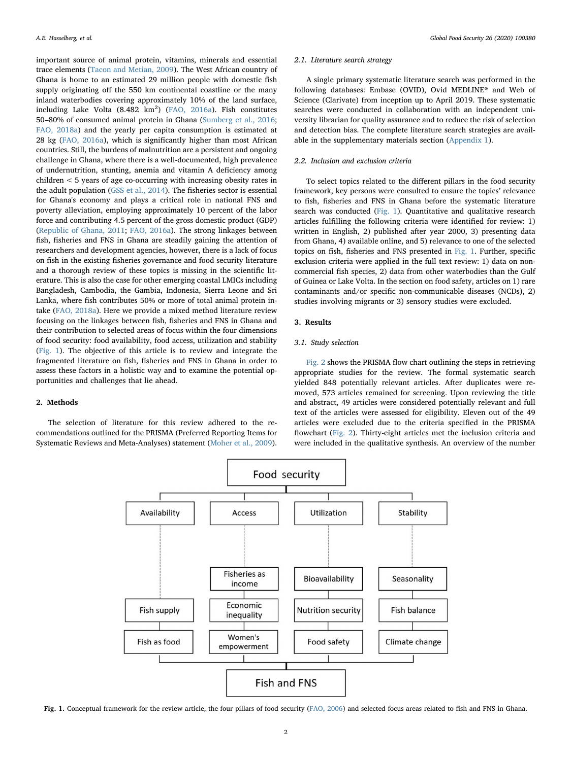important source of animal protein, vitamins, minerals and essential trace elements [\(Tacon and Metian, 2009\)](#page-10-3). The West African country of Ghana is home to an estimated 29 million people with domestic fish supply originating off the 550 km continental coastline or the many inland waterbodies covering approximately 10% of the land surface, including Lake Volta  $(8.482 \text{ km}^2)$  ([FAO, 2016a\)](#page-9-5). Fish constitutes 50–80% of consumed animal protein in Ghana [\(Sumberg et al., 2016](#page-10-4); [FAO, 2018a](#page-9-6)) and the yearly per capita consumption is estimated at 28 kg ([FAO, 2016a\)](#page-9-5), which is significantly higher than most African countries. Still, the burdens of malnutrition are a persistent and ongoing challenge in Ghana, where there is a well-documented, high prevalence of undernutrition, stunting, anemia and vitamin A deficiency among children < 5 years of age co-occurring with increasing obesity rates in the adult population [\(GSS et al., 2014](#page-9-7)). The fisheries sector is essential for Ghana's economy and plays a critical role in national FNS and poverty alleviation, employing approximately 10 percent of the labor force and contributing 4.5 percent of the gross domestic product (GDP) ([Republic of Ghana, 2011](#page-10-5); [FAO, 2016a](#page-9-5)). The strong linkages between fish, fisheries and FNS in Ghana are steadily gaining the attention of researchers and development agencies, however, there is a lack of focus on fish in the existing fisheries governance and food security literature and a thorough review of these topics is missing in the scientific literature. This is also the case for other emerging coastal LMICs including Bangladesh, Cambodia, the Gambia, Indonesia, Sierra Leone and Sri Lanka, where fish contributes 50% or more of total animal protein intake [\(FAO, 2018a](#page-9-6)). Here we provide a mixed method literature review focusing on the linkages between fish, fisheries and FNS in Ghana and their contribution to selected areas of focus within the four dimensions of food security: food availability, food access, utilization and stability ([Fig. 1](#page-2-0)). The objective of this article is to review and integrate the fragmented literature on fish, fisheries and FNS in Ghana in order to assess these factors in a holistic way and to examine the potential opportunities and challenges that lie ahead.

#### 2. Methods

<span id="page-2-0"></span>The selection of literature for this review adhered to the recommendations outlined for the PRISMA (Preferred Reporting Items for Systematic Reviews and Meta-Analyses) statement [\(Moher et al., 2009](#page-9-8)).

#### 2.1. Literature search strategy

A single primary systematic literature search was performed in the following databases: Embase (OVID), Ovid MEDLINE® and Web of Science (Clarivate) from inception up to April 2019. These systematic searches were conducted in collaboration with an independent university librarian for quality assurance and to reduce the risk of selection and detection bias. The complete literature search strategies are available in the supplementary materials section (Appendix 1).

#### 2.2. Inclusion and exclusion criteria

To select topics related to the different pillars in the food security framework, key persons were consulted to ensure the topics' relevance to fish, fisheries and FNS in Ghana before the systematic literature search was conducted ([Fig. 1\)](#page-2-0). Quantitative and qualitative research articles fulfilling the following criteria were identified for review: 1) written in English, 2) published after year 2000, 3) presenting data from Ghana, 4) available online, and 5) relevance to one of the selected topics on fish, fisheries and FNS presented in [Fig. 1](#page-2-0). Further, specific exclusion criteria were applied in the full text review: 1) data on noncommercial fish species, 2) data from other waterbodies than the Gulf of Guinea or Lake Volta. In the section on food safety, articles on 1) rare contaminants and/or specific non-communicable diseases (NCDs), 2) studies involving migrants or 3) sensory studies were excluded.

#### 3. Results

#### 3.1. Study selection

[Fig. 2](#page-3-0) shows the PRISMA flow chart outlining the steps in retrieving appropriate studies for the review. The formal systematic search yielded 848 potentially relevant articles. After duplicates were removed, 573 articles remained for screening. Upon reviewing the title and abstract, 49 articles were considered potentially relevant and full text of the articles were assessed for eligibility. Eleven out of the 49 articles were excluded due to the criteria specified in the PRISMA flowchart ([Fig. 2](#page-3-0)). Thirty-eight articles met the inclusion criteria and were included in the qualitative synthesis. An overview of the number



Fig. 1. Conceptual framework for the review article, the four pillars of food security [\(FAO, 2006\)](#page-9-2) and selected focus areas related to fish and FNS in Ghana.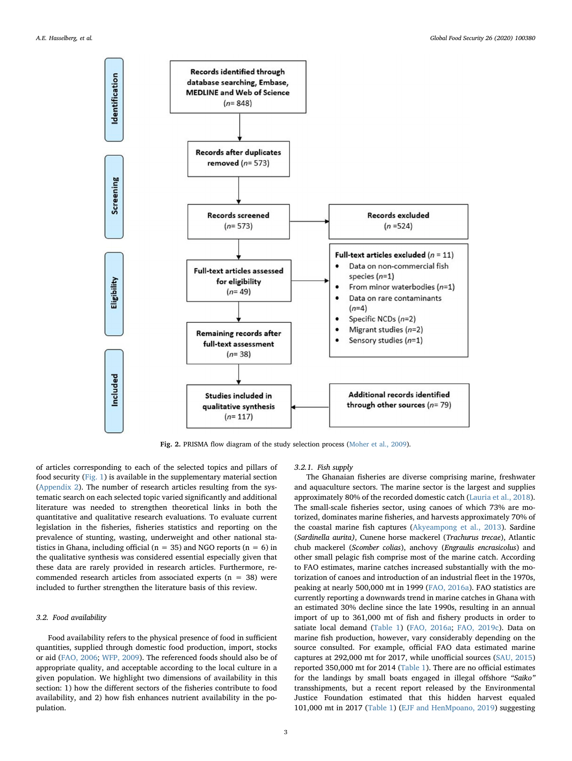<span id="page-3-0"></span>

Fig. 2. PRISMA flow diagram of the study selection process ([Moher et al., 2009](#page-9-8)).

of articles corresponding to each of the selected topics and pillars of food security ([Fig. 1](#page-2-0)) is available in the supplementary material section ([Appendix 2\)](#page-8-2). The number of research articles resulting from the systematic search on each selected topic varied significantly and additional literature was needed to strengthen theoretical links in both the quantitative and qualitative research evaluations. To evaluate current legislation in the fisheries, fisheries statistics and reporting on the prevalence of stunting, wasting, underweight and other national statistics in Ghana, including official ( $n = 35$ ) and NGO reports ( $n = 6$ ) in the qualitative synthesis was considered essential especially given that these data are rarely provided in research articles. Furthermore, recommended research articles from associated experts ( $n = 38$ ) were included to further strengthen the literature basis of this review.

#### 3.2. Food availability

Food availability refers to the physical presence of food in sufficient quantities, supplied through domestic food production, import, stocks or aid ([FAO, 2006;](#page-9-2) [WFP, 2009](#page-10-6)). The referenced foods should also be of appropriate quality, and acceptable according to the local culture in a given population. We highlight two dimensions of availability in this section: 1) how the different sectors of the fisheries contribute to food availability, and 2) how fish enhances nutrient availability in the population.

#### 3.2.1. Fish supply

The Ghanaian fisheries are diverse comprising marine, freshwater and aquaculture sectors. The marine sector is the largest and supplies approximately 80% of the recorded domestic catch ([Lauria et al., 2018](#page-9-9)). The small-scale fisheries sector, using canoes of which 73% are motorized, dominates marine fisheries, and harvests approximately 70% of the coastal marine fish captures [\(Akyeampong et al., 2013](#page-8-3)). Sardine (Sardinella aurita), Cunene horse mackerel (Trachurus trecae), Atlantic chub mackerel (Scomber colias), anchovy (Engraulis encrasicolus) and other small pelagic fish comprise most of the marine catch. According to FAO estimates, marine catches increased substantially with the motorization of canoes and introduction of an industrial fleet in the 1970s, peaking at nearly 500,000 mt in 1999 [\(FAO, 2016a\)](#page-9-5). FAO statistics are currently reporting a downwards trend in marine catches in Ghana with an estimated 30% decline since the late 1990s, resulting in an annual import of up to 361,000 mt of fish and fishery products in order to satiate local demand [\(Table 1\)](#page-4-0) ([FAO, 2016a](#page-9-5); [FAO, 2019c\)](#page-9-10). Data on marine fish production, however, vary considerably depending on the source consulted. For example, official FAO data estimated marine captures at 292,000 mt for 2017, while unofficial sources ([SAU, 2015\)](#page-10-7) reported 350,000 mt for 2014 [\(Table 1\)](#page-4-0). There are no official estimates for the landings by small boats engaged in illegal offshore "Saiko" transshipments, but a recent report released by the Environmental Justice Foundation estimated that this hidden harvest equaled 101,000 mt in 2017 [\(Table 1\)](#page-4-0) [\(EJF and HenMpoano, 2019](#page-9-11)) suggesting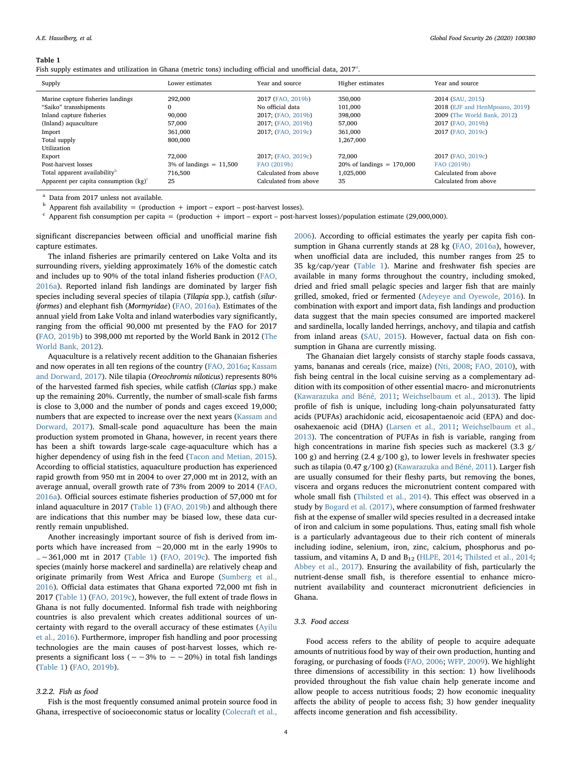#### <span id="page-4-0"></span>Table 1

Fish supply estim[a](#page-4-1)tes and utilization in Ghana (metric tons) including official and unofficial data,  $2017^a$ .

| Supply                                   | Lower estimates            | Year and source       | Higher estimates             | Year and source                |
|------------------------------------------|----------------------------|-----------------------|------------------------------|--------------------------------|
| Marine capture fisheries landings        | 292,000                    | 2017 (FAO, 2019b)     | 350,000                      | 2014 (SAU, 2015)               |
| "Saiko" transshipments                   | $\Omega$                   | No official data      | 101,000                      | 2018 (EJF and HenMpoano, 2019) |
| Inland capture fisheries                 | 90,000                     | 2017; (FAO, 2019b)    | 398,000                      | 2009 (The World Bank, 2012)    |
| (Inland) aquaculture                     | 57,000                     | 2017; (FAO, 2019b)    | 57,000                       | 2017 (FAO, 2019b)              |
| Import                                   | 361,000                    | 2017; (FAO, 2019c)    | 361,000                      | 2017 (FAO, 2019c)              |
| Total supply                             | 800,000                    |                       | 1,267,000                    |                                |
| Utilization                              |                            |                       |                              |                                |
| Export                                   | 72,000                     | 2017; (FAO, 2019c)    | 72,000                       | 2017 (FAO, 2019c)              |
| Post-harvest losses                      | $3\%$ of landings = 11,500 | FAO (2019b)           | $20\%$ of landings = 170,000 | FAO (2019b)                    |
| Total apparent availability <sup>b</sup> | 716,500                    | Calculated from above | 1,025,000                    | Calculated from above          |
| Apparent per capita consumption $(kg)^c$ | 25                         | Calculated from above | 35                           | Calculated from above          |

<span id="page-4-1"></span><sup>a</sup> Data from 2017 unless not available.

<span id="page-4-2"></span> $<sup>b</sup>$  Apparent fish availability = (production + import – export – post-harvest losses).</sup>

<span id="page-4-3"></span> $c$  Apparent fish consumption per capita = (production + import – export – post-harvest losses)/population estimate (29,000,000).

significant discrepancies between official and unofficial marine fish capture estimates.

The inland fisheries are primarily centered on Lake Volta and its surrounding rivers, yielding approximately 16% of the domestic catch and includes up to 90% of the total inland fisheries production ([FAO,](#page-9-5) [2016a\)](#page-9-5). Reported inland fish landings are dominated by larger fish species including several species of tilapia (Tilapia spp.), catfish (siluriformes) and elephant fish (Mormyridae) ([FAO, 2016a\)](#page-9-5). Estimates of the annual yield from Lake Volta and inland waterbodies vary significantly, ranging from the official 90,000 mt presented by the FAO for 2017 ([FAO, 2019b](#page-9-12)) to 398,000 mt reported by the World Bank in 2012 [\(The](#page-10-8) [World Bank, 2012\)](#page-10-8).

Aquaculture is a relatively recent addition to the Ghanaian fisheries and now operates in all ten regions of the country [\(FAO, 2016a](#page-9-5); [Kassam](#page-9-13) [and Dorward, 2017](#page-9-13)). Nile tilapia (Oreochromis niloticus) represents 80% of the harvested farmed fish species, while catfish (Clarias spp.) make up the remaining 20%. Currently, the number of small-scale fish farms is close to 3,000 and the number of ponds and cages exceed 19,000; numbers that are expected to increase over the next years ([Kassam and](#page-9-13) [Dorward, 2017](#page-9-13)). Small-scale pond aquaculture has been the main production system promoted in Ghana, however, in recent years there has been a shift towards large-scale cage-aquaculture which has a higher dependency of using fish in the feed ([Tacon and Metian, 2015](#page-10-9)). According to official statistics, aquaculture production has experienced rapid growth from 950 mt in 2004 to over 27,000 mt in 2012, with an average annual, overall growth rate of 73% from 2009 to 2014 ([FAO,](#page-9-5) [2016a\)](#page-9-5). Official sources estimate fisheries production of 57,000 mt for inland aquaculture in 2017 ([Table 1](#page-4-0)) ([FAO, 2019b](#page-9-12)) and although there are indications that this number may be biased low, these data currently remain unpublished.

Another increasingly important source of fish is derived from imports which have increased from ∼20,000 mt in the early 1990s to <sup>~</sup>∼361,000 mt in 2017 ([Table 1](#page-4-0)) [\(FAO, 2019c\)](#page-9-10). The imported fish species (mainly horse mackerel and sardinella) are relatively cheap and originate primarily from West Africa and Europe ([Sumberg et al.,](#page-10-4) [2016\)](#page-10-4). Official data estimates that Ghana exported 72,000 mt fish in 2017 ([Table 1](#page-4-0)) [\(FAO, 2019c](#page-9-10)), however, the full extent of trade flows in Ghana is not fully documented. Informal fish trade with neighboring countries is also prevalent which creates additional sources of uncertainty with regard to the overall accuracy of these estimates ([Ayilu](#page-8-4) [et al., 2016\)](#page-8-4). Furthermore, improper fish handling and poor processing technologies are the main causes of post-harvest losses, which represents a significant loss ( $-\sim$ 3% to  $-\sim$ 20%) in total fish landings ([Table 1](#page-4-0)) ([FAO, 2019b\)](#page-9-12).

#### 3.2.2. Fish as food

Fish is the most frequently consumed animal protein source food in Ghana, irrespective of socioeconomic status or locality ([Colecraft et al.,](#page-8-5)

[2006\)](#page-8-5). According to official estimates the yearly per capita fish consumption in Ghana currently stands at 28 kg [\(FAO, 2016a\)](#page-9-5), however, when unofficial data are included, this number ranges from 25 to 35 kg/cap/year ([Table 1](#page-4-0)). Marine and freshwater fish species are available in many forms throughout the country, including smoked, dried and fried small pelagic species and larger fish that are mainly grilled, smoked, fried or fermented [\(Adeyeye and Oyewole, 2016](#page-8-6)). In combination with export and import data, fish landings and production data suggest that the main species consumed are imported mackerel and sardinella, locally landed herrings, anchovy, and tilapia and catfish from inland areas [\(SAU, 2015](#page-10-7)). However, factual data on fish consumption in Ghana are currently missing.

The Ghanaian diet largely consists of starchy staple foods cassava, yams, bananas and cereals (rice, maize) ([Nti, 2008;](#page-9-14) [FAO, 2010\)](#page-9-15), with fish being central in the local cuisine serving as a complementary addition with its composition of other essential macro- and micronutrients ([Kawarazuka and Béné, 2011](#page-9-16); [Weichselbaum](#page-10-10) et al., 2013). The lipid profile of fish is unique, including long-chain polyunsaturated fatty acids (PUFAs) arachidonic acid, eicosapentaenoic acid (EPA) and docosahexaenoic acid (DHA) ([Larsen et al., 2011](#page-9-17); [Weichselbaum et al.,](#page-10-10) [2013\)](#page-10-10). The concentration of PUFAs in fish is variable, ranging from high concentrations in marine fish species such as mackerel (3.3 g/ 100 g) and herring  $(2.4 \text{ g}/100 \text{ g})$ , to lower levels in freshwater species such as tilapia (0.47 g/100 g) [\(Kawarazuka and Béné, 2011](#page-9-16)). Larger fish are usually consumed for their fleshy parts, but removing the bones, viscera and organs reduces the micronutrient content compared with whole small fish [\(Thilsted et al., 2014](#page-10-2)). This effect was observed in a study by [Bogard et al. \(2017\),](#page-8-7) where consumption of farmed freshwater fish at the expense of smaller wild species resulted in a decreased intake of iron and calcium in some populations. Thus, eating small fish whole is a particularly advantageous due to their rich content of minerals including iodine, selenium, iron, zinc, calcium, phosphorus and potassium, and vitamins A, D and  $B_{12}$  [\(HLPE, 2014](#page-9-18); [Thilsted et al., 2014](#page-10-2); [Abbey et al., 2017\)](#page-8-8). Ensuring the availability of fish, particularly the nutrient-dense small fish, is therefore essential to enhance micronutrient availability and counteract micronutrient deficiencies in Ghana.

#### 3.3. Food access

Food access refers to the ability of people to acquire adequate amounts of nutritious food by way of their own production, hunting and foraging, or purchasing of foods ([FAO, 2006;](#page-9-2) [WFP, 2009\)](#page-10-6). We highlight three dimensions of accessibility in this section: 1) how livelihoods provided throughout the fish value chain help generate income and allow people to access nutritious foods; 2) how economic inequality affects the ability of people to access fish; 3) how gender inequality affects income generation and fish accessibility.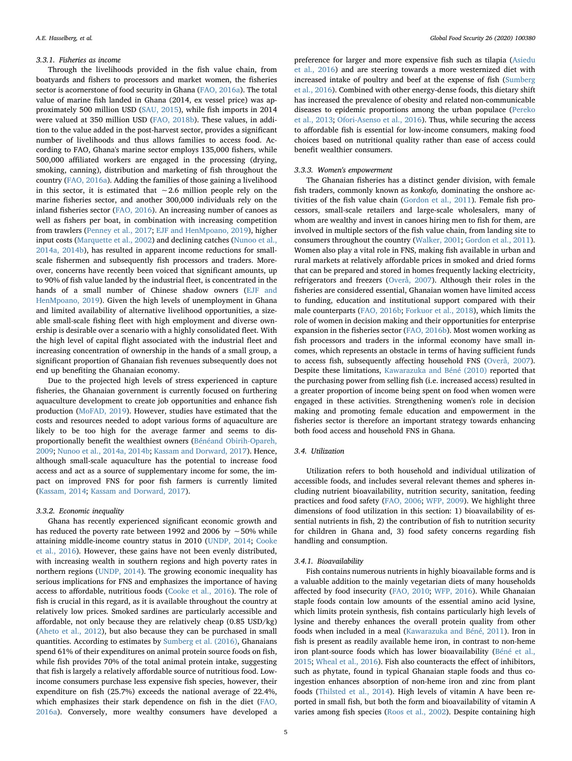#### 3.3.1. Fisheries as income

Through the livelihoods provided in the fish value chain, from boatyards and fishers to processors and market women, the fisheries sector is acornerstone of food security in Ghana [\(FAO, 2016a](#page-9-5)). The total value of marine fish landed in Ghana (2014, ex vessel price) was approximately 500 million USD ([SAU, 2015\)](#page-10-7), while fish imports in 2014 were valued at 350 million USD [\(FAO, 2018b](#page-9-19)). These values, in addition to the value added in the post-harvest sector, provides a significant number of livelihoods and thus allows families to access food. According to FAO, Ghana's marine sector employs 135,000 fishers, while 500,000 affiliated workers are engaged in the processing (drying, smoking, canning), distribution and marketing of fish throughout the country ([FAO, 2016a\)](#page-9-5). Adding the families of those gaining a livelihood in this sector, it is estimated that ∼2.6 million people rely on the marine fisheries sector, and another 300,000 individuals rely on the inland fisheries sector [\(FAO, 2016](#page-9-20)). An increasing number of canoes as well as fishers per boat, in combination with increasing competition from trawlers ([Penney et al., 2017](#page-10-11); [EJF and HenMpoano, 2019](#page-9-11)), higher input costs [\(Marquette et al., 2002](#page-9-21)) and declining catches ([Nunoo et al.,](#page-9-22) [2014a, 2014b](#page-9-22)), has resulted in apparent income reductions for smallscale fishermen and subsequently fish processors and traders. Moreover, concerns have recently been voiced that significant amounts, up to 90% of fish value landed by the industrial fleet, is concentrated in the hands of a small number of Chinese shadow owners ([EJF and](#page-9-11) [HenMpoano, 2019\)](#page-9-11). Given the high levels of unemployment in Ghana and limited availability of alternative livelihood opportunities, a sizeable small-scale fishing fleet with high employment and diverse ownership is desirable over a scenario with a highly consolidated fleet. With the high level of capital flight associated with the industrial fleet and increasing concentration of ownership in the hands of a small group, a significant proportion of Ghanaian fish revenues subsequently does not end up benefiting the Ghanaian economy.

Due to the projected high levels of stress experienced in capture fisheries, the Ghanaian government is currently focused on furthering aquaculture development to create job opportunities and enhance fish production [\(MoFAD, 2019\)](#page-9-23). However, studies have estimated that the costs and resources needed to adopt various forms of aquaculture are likely to be too high for the average farmer and seems to disproportionally benefit the wealthiest owners [\(Bénéand Obirih-Opareh,](#page-8-9) [2009;](#page-8-9) [Nunoo et al., 2014a, 2014b;](#page-9-22) [Kassam and Dorward, 2017](#page-9-13)). Hence, although small-scale aquaculture has the potential to increase food access and act as a source of supplementary income for some, the impact on improved FNS for poor fish farmers is currently limited ([Kassam, 2014;](#page-9-24) [Kassam and Dorward, 2017](#page-9-13)).

#### 3.3.2. Economic inequality

Ghana has recently experienced significant economic growth and has reduced the poverty rate between 1992 and 2006 by ∼50% while attaining middle-income country status in 2010 [\(UNDP, 2014](#page-10-12); [Cooke](#page-9-25) [et al., 2016](#page-9-25)). However, these gains have not been evenly distributed, with increasing wealth in southern regions and high poverty rates in northern regions [\(UNDP, 2014\)](#page-10-12). The growing economic inequality has serious implications for FNS and emphasizes the importance of having access to affordable, nutritious foods [\(Cooke et al., 2016](#page-9-25)). The role of fish is crucial in this regard, as it is available throughout the country at relatively low prices. Smoked sardines are particularly accessible and affordable, not only because they are relatively cheap (0.85 USD/kg) ([Aheto et al., 2012\)](#page-8-10), but also because they can be purchased in small quantities. According to estimates by [Sumberg et al. \(2016\)](#page-10-4), Ghanaians spend 61% of their expenditures on animal protein source foods on fish, while fish provides 70% of the total animal protein intake, suggesting that fish is largely a relatively affordable source of nutritious food. Lowincome consumers purchase less expensive fish species, however, their expenditure on fish (25.7%) exceeds the national average of 22.4%, which emphasizes their stark dependence on fish in the diet ([FAO,](#page-9-5) [2016a\)](#page-9-5). Conversely, more wealthy consumers have developed a

preference for larger and more expensive fish such as tilapia ([Asiedu](#page-8-11) [et al., 2016](#page-8-11)) and are steering towards a more westernized diet with increased intake of poultry and beef at the expense of fish ([Sumberg](#page-10-4) et [al., 2016\)](#page-10-4). Combined with other energy-dense foods, this dietary shift has increased the prevalence of obesity and related non-communicable diseases to epidemic proportions among the urban populace ([Pereko](#page-10-13) [et al., 2013;](#page-10-13) [Ofori-Asenso et al., 2016](#page-10-14)). Thus, while securing the access to affordable fish is essential for low-income consumers, making food choices based on nutritional quality rather than ease of access could benefit wealthier consumers.

#### 3.3.3. Women's empowerment

The Ghanaian fisheries has a distinct gender division, with female fish traders, commonly known as konkofo, dominating the onshore activities of the fish value chain [\(Gordon et al., 2011](#page-9-26)). Female fish processors, small-scale retailers and large-scale wholesalers, many of whom are wealthy and invest in canoes hiring men to fish for them, are involved in multiple sectors of the fish value chain, from landing site to consumers throughout the country ([Walker, 2001](#page-10-15); [Gordon et al., 2011](#page-9-26)). Women also play a vital role in FNS, making fish available in urban and rural markets at relatively affordable prices in smoked and dried forms that can be prepared and stored in homes frequently lacking electricity, refrigerators and freezers ([Overå, 2007\)](#page-10-16). Although their roles in the fisheries are considered essential, Ghanaian women have limited access to funding, education and institutional support compared with their male counterparts ([FAO, 2016b](#page-9-20); [Forkuor et al., 2018\)](#page-9-27), which limits the role of women in decision making and their opportunities for enterprise expansion in the fisheries sector [\(FAO, 2016b](#page-9-20)). Most women working as fish processors and traders in the informal economy have small incomes, which represents an obstacle in terms of having sufficient funds to access fish, subsequently affecting household FNS [\(Overå, 2007](#page-10-16)). Despite these limitations, [Kawarazuka and Béné \(2010\)](#page-9-28) reported that the purchasing power from selling fish (i.e. increased access) resulted in a greater proportion of income being spent on food when women were engaged in these activities. Strengthening women's role in decision making and promoting female education and empowerment in the fisheries sector is therefore an important strategy towards enhancing both food access and household FNS in Ghana.

#### 3.4. Utilization

Utilization refers to both household and individual utilization of accessible foods, and includes several relevant themes and spheres including nutrient bioavailability, nutrition security, sanitation, feeding practices and food safety ([FAO, 2006](#page-9-2); [WFP, 2009](#page-10-6)). We highlight three dimensions of food utilization in this section: 1) bioavailability of essential nutrients in fish, 2) the contribution of fish to nutrition security for children in Ghana and, 3) food safety concerns regarding fish handling and consumption.

#### 3.4.1. Bioavailability

Fish contains numerous nutrients in highly bioavailable forms and is a valuable addition to the mainly vegetarian diets of many households affected by food insecurity ([FAO, 2010](#page-9-15); [WFP, 2016](#page-10-17)). While Ghanaian staple foods contain low amounts of the essential amino acid lysine, which limits protein synthesis, fish contains particularly high levels of lysine and thereby enhances the overall protein quality from other foods when included in a meal [\(Kawarazuka and Béné, 2011](#page-9-16)). Iron in fish is present as readily available heme iron, in contrast to non-heme iron plant-source foods which has lower bioavailability ([Béné et al.,](#page-8-1) [2015;](#page-8-1) [Wheal et al., 2016\)](#page-10-18). Fish also counteracts the effect of inhibitors, such as phytate, found in typical Ghanaian staple foods and thus coingestion enhances absorption of non-heme iron and zinc from plant foods ([Thilsted et al., 2014\)](#page-10-2). High levels of vitamin A have been reported in small fish, but both the form and bioavailability of vitamin A varies among fish species [\(Roos et al., 2002\)](#page-10-19). Despite containing high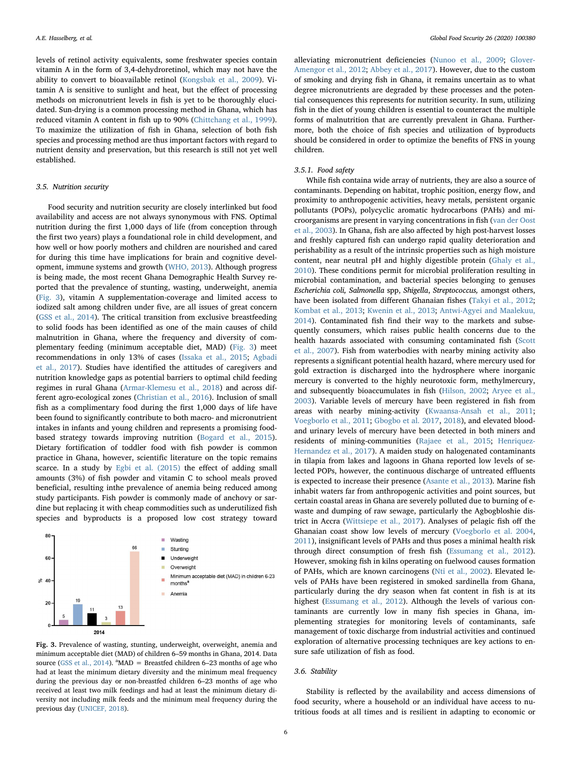levels of retinol activity equivalents, some freshwater species contain vitamin A in the form of 3,4-dehydroretinol, which may not have the ability to convert to bioavailable retinol [\(Kongsbak et al., 2009\)](#page-9-29). Vitamin A is sensitive to sunlight and heat, but the effect of processing methods on micronutrient levels in fish is yet to be thoroughly elucidated. Sun-drying is a common processing method in Ghana, which has reduced vitamin A content in fish up to 90% ([Chittchang et al., 1999](#page-8-12)). To maximize the utilization of fish in Ghana, selection of both fish species and processing method are thus important factors with regard to nutrient density and preservation, but this research is still not yet well established.

#### 3.5. Nutrition security

Food security and nutrition security are closely interlinked but food availability and access are not always synonymous with FNS. Optimal nutrition during the first 1,000 days of life (from conception through the first two years) plays a foundational role in child development, and how well or how poorly mothers and children are nourished and cared for during this time have implications for brain and cognitive development, immune systems and growth [\(WHO, 2013\)](#page-10-20). Although progress is being made, the most recent Ghana Demographic Health Survey reported that the prevalence of stunting, wasting, underweight, anemia ([Fig. 3](#page-6-0)), vitamin A supplementation-coverage and limited access to iodized salt among children under five, are all issues of great concern ([GSS et al., 2014](#page-9-7)). The critical transition from exclusive breastfeeding to solid foods has been identified as one of the main causes of child malnutrition in Ghana, where the frequency and diversity of complementary feeding (minimum acceptable diet, MAD) ([Fig. 3](#page-6-0)) meet recommendations in only 13% of cases [\(Issaka et al., 2015;](#page-9-30) [Agbadi](#page-8-13) [et al., 2017](#page-8-13)). Studies have identified the attitudes of caregivers and nutrition knowledge gaps as potential barriers to optimal child feeding regimes in rural Ghana [\(Armar-Klemesu et al., 2018\)](#page-8-14) and across different agro-ecological zones [\(Christian et al., 2016\)](#page-8-15). Inclusion of small fish as a complimentary food during the first 1,000 days of life have been found to significantly contribute to both macro- and micronutrient intakes in infants and young children and represents a promising foodbased strategy towards improving nutrition ([Bogard et al., 2015](#page-8-16)). Dietary fortification of toddler food with fish powder is common practice in Ghana, however, scientific literature on the topic remains scarce. In a study by [Egbi et al. \(2015\)](#page-9-31) the effect of adding small amounts (3%) of fish powder and vitamin C to school meals proved beneficial, resulting inthe prevalence of anemia being reduced among study participants. Fish powder is commonly made of anchovy or sardine but replacing it with cheap commodities such as underutilized fish species and byproducts is a proposed low cost strategy toward

<span id="page-6-0"></span>

Fig. 3. Prevalence of wasting, stunting, underweight, overweight, anemia and minimum acceptable diet (MAD) of children 6–59 months in Ghana, 2014. Data source ([GSS et al., 2014](#page-9-7)).  $^{\text{a}}$ MAD = Breastfed children 6–23 months of age who had at least the minimum dietary diversity and the minimum meal frequency during the previous day or non-breastfed children 6–23 months of age who received at least two milk feedings and had at least the minimum dietary diversity not including milk feeds and the minimum meal frequency during the previous day ([UNICEF, 2018](#page-10-29)).

alleviating micronutrient deficiencies [\(Nunoo et al., 2009;](#page-10-21) [Glover-](#page-9-32)[Amengor et al., 2012](#page-9-32); [Abbey et al., 2017\)](#page-8-8). However, due to the custom of smoking and drying fish in Ghana, it remains uncertain as to what degree micronutrients are degraded by these processes and the potential consequences this represents for nutrition security. In sum, utilizing fish in the diet of young children is essential to counteract the multiple forms of malnutrition that are currently prevalent in Ghana. Furthermore, both the choice of fish species and utilization of byproducts should be considered in order to optimize the benefits of FNS in young children.

#### 3.5.1. Food safety

While fish containa wide array of nutrients, they are also a source of contaminants. Depending on habitat, trophic position, energy flow, and proximity to anthropogenic activities, heavy metals, persistent organic pollutants (POPs), polycyclic aromatic hydrocarbons (PAHs) and microorganisms are present in varying concentrations in fish ([van der Oost](#page-10-22) [et al., 2003](#page-10-22)). In Ghana, fish are also affected by high post-harvest losses and freshly captured fish can undergo rapid quality deterioration and perishability as a result of the intrinsic properties such as high moisture content, near neutral pH and highly digestible protein [\(Ghaly et al.,](#page-9-33) [2010\)](#page-9-33). These conditions permit for microbial proliferation resulting in microbial contamination, and bacterial species belonging to genuses Escherichia coli, Salmonella spp, Shigella, Streptococcus, amongst others, have been isolated from different Ghanaian fishes ([Takyi et al., 2012](#page-10-23); [Kombat et al., 2013;](#page-9-34) [Kwenin et al., 2013](#page-9-35); [Antwi-Agyei and Maalekuu,](#page-8-17) [2014\)](#page-8-17). Contaminated fish find their way to the markets and subsequently consumers, which raises public health concerns due to the health hazards associated with consuming contaminated fish [\(Scott](#page-10-24) [et al., 2007](#page-10-24)). Fish from waterbodies with nearby mining activity also represents a significant potential health hazard, where mercury used for gold extraction is discharged into the hydrosphere where inorganic mercury is converted to the highly neurotoxic form, methylmercury, and subsequently bioaccumulates in fish [\(Hilson, 2002;](#page-9-36) [Aryee et al.,](#page-8-18) [2003\)](#page-8-18). Variable levels of mercury have been registered in fish from areas with nearby mining-activity [\(Kwaansa-Ansah et al., 2011](#page-9-37); [Voegborlo et al., 2011](#page-10-25); [Gbogbo et al. 2017,](#page-9-38) [2018](#page-9-39)), and elevated bloodand urinary levels of mercury have been detected in both miners and residents of mining-communities [\(Rajaee et al., 2015](#page-10-26); [Henriquez-](#page-9-40)[Hernandez et al., 2017\)](#page-9-40). A maiden study on halogenated contaminants in tilapia from lakes and lagoons in Ghana reported low levels of selected POPs, however, the continuous discharge of untreated effluents is expected to increase their presence ([Asante et al., 2013\)](#page-8-19). Marine fish inhabit waters far from anthropogenic activities and point sources, but certain coastal areas in Ghana are severely polluted due to burning of ewaste and dumping of raw sewage, particularly the Agbogbloshie district in Accra [\(Wittsiepe et al., 2017\)](#page-10-27). Analyses of pelagic fish off the Ghanaian coast show low levels of mercury ([Voegborlo et al. 2004](#page-10-28), [2011\)](#page-10-25), insignificant levels of PAHs and thus poses a minimal health risk through direct consumption of fresh fish [\(Essumang et al., 2012](#page-9-41)). However, smoking fish in kilns operating on fuelwood causes formation of PAHs, which are known carcinogens ([Nti et al., 2002\)](#page-9-42). Elevated levels of PAHs have been registered in smoked sardinella from Ghana, particularly during the dry season when fat content in fish is at its highest ([Essumang et al., 2012\)](#page-9-41). Although the levels of various contaminants are currently low in many fish species in Ghana, implementing strategies for monitoring levels of contaminants, safe management of toxic discharge from industrial activities and continued exploration of alternative processing techniques are key actions to ensure safe utilization of fish as food.

#### 3.6. Stability

Stability is reflected by the availability and access dimensions of food security, where a household or an individual have access to nutritious foods at all times and is resilient in adapting to economic or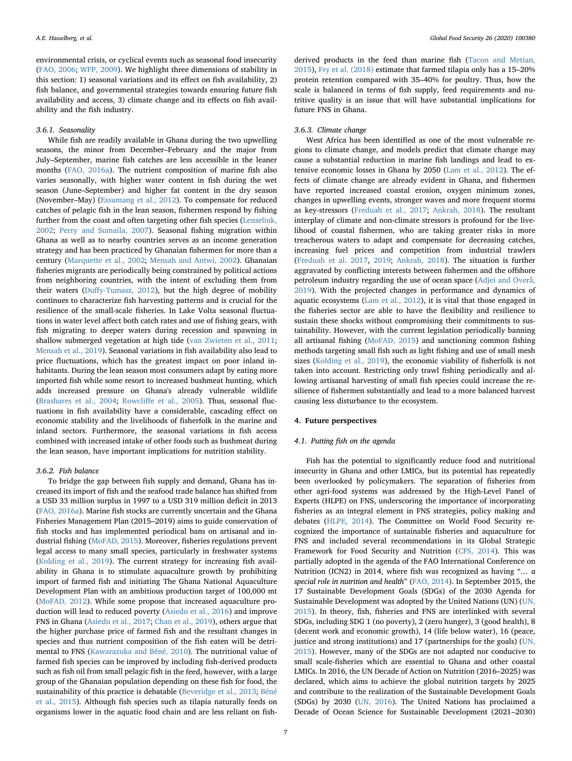environmental crisis, or cyclical events such as seasonal food insecurity ([FAO, 2006;](#page-9-2) [WFP, 2009](#page-10-6)). We highlight three dimensions of stability in this section: 1) seasonal variations and its effect on fish availability, 2) fish balance, and governmental strategies towards ensuring future fish availability and access, 3) climate change and its effects on fish availability and the fish industry.

#### 3.6.1. Seasonality

While fish are readily available in Ghana during the two upwelling seasons, the minor from December–February and the major from July–September, marine fish catches are less accessible in the leaner months [\(FAO, 2016a\)](#page-9-5). The nutrient composition of marine fish also varies seasonally, with higher water content in fish during the wet season (June–September) and higher fat content in the dry season (November–May) ([Essumang et al., 2012\)](#page-9-41). To compensate for reduced catches of pelagic fish in the lean season, fishermen respond by fishing further from the coast and often targeting other fish species [\(Lenselink,](#page-9-43) [2002;](#page-9-43) [Perry and Sumaila, 2007](#page-10-30)). Seasonal fishing migration within Ghana as well as to nearby countries serves as an income generation strategy and has been practiced by Ghanaian fishermen for more than a century [\(Marquette et al., 2002;](#page-9-21) [Mensah and Antwi, 2002\)](#page-9-44). Ghanaian fisheries migrants are periodically being constrained by political actions from neighboring countries, with the intent of excluding them from their waters (Duff[y-Tumasz, 2012](#page-9-45)), but the high degree of mobility continues to characterize fish harvesting patterns and is crucial for the resilience of the small-scale fisheries. In Lake Volta seasonal fluctuations in water level affect both catch rates and use of fishing gears, with fish migrating to deeper waters during recession and spawning in shallow submerged vegetation at high tide ([van Zwieten et al., 2011](#page-10-31); Mensah [et al., 2019](#page-9-46)). Seasonal variations in fish availability also lead to price fluctuations, which has the greatest impact on poor inland inhabitants. During the lean season most consumers adapt by eating more imported fish while some resort to increased bushmeat hunting, which adds increased pressure on Ghana's already vulnerable wildlife ([Brashares et al., 2004](#page-8-20); Rowcliff[e et al., 2005](#page-10-32)). Thus, seasonal fluctuations in fish availability have a considerable, cascading effect on economic stability and the livelihoods of fisherfolk in the marine and inland sectors. Furthermore, the seasonal variations in fish access combined with increased intake of other foods such as bushmeat during the lean season, have important implications for nutrition stability.

#### 3.6.2. Fish balance

To bridge the gap between fish supply and demand, Ghana has increased its import of fish and the seafood trade balance has shifted from a USD 33 million surplus in 1997 to a USD 319 million deficit in 2013 ([FAO, 2016a](#page-9-5)). Marine fish stocks are currently uncertain and the Ghana Fisheries Management Plan (2015–2019) aims to guide conservation of fish stocks and has implemented periodical bans on artisanal and industrial fishing [\(MoFAD, 2015](#page-9-47)). Moreover, fisheries regulations prevent legal access to many small species, particularly in freshwater systems ([Kolding et al., 2019\)](#page-9-48). The current strategy for increasing fish availability in Ghana is to stimulate aquaculture growth by prohibiting import of farmed fish and initiating The Ghana National Aquaculture Development Plan with an ambitious production target of 100,000 mt ([MoFAD, 2012\)](#page-9-49). While some propose that increased aquaculture production will lead to reduced poverty [\(Asiedu et al., 2016\)](#page-8-11) and improve FNS in Ghana ([Asiedu et al., 2017;](#page-8-21) [Chan et al., 2019](#page-8-22)), others argue that the higher purchase price of farmed fish and the resultant changes in species and thus nutrient composition of the fish eaten will be detrimental to FNS [\(Kawarazuka and Béné, 2010\)](#page-9-28). The nutritional value of farmed fish species can be improved by including fish-derived products such as fish oil from small pelagic fish in the feed, however, with a large group of the Ghanaian population depending on these fish for food, the sustainability of this practice is debatable ([Beveridge et al., 2013;](#page-8-23) [Béné](#page-8-1) [et al., 2015\)](#page-8-1). Although fish species such as tilapia naturally feeds on organisms lower in the aquatic food chain and are less reliant on fish-

derived products in the feed than marine fish ([Tacon and Metian,](#page-10-9) [2015\)](#page-10-9), [Fry et al. \(2018\)](#page-9-50) estimate that farmed tilapia only has a 15–20% protein retention compared with 35–40% for poultry. Thus, how the scale is balanced in terms of fish supply, feed requirements and nutritive quality is an issue that will have substantial implications for future FNS in Ghana.

### 3.6.3. Climate change

West Africa has been identified as one of the most vulnerable regions to climate change, and models predict that climate change may cause a substantial reduction in marine fish landings and lead to extensive economic losses in Ghana by 2050 ([Lam et al., 2012](#page-9-51)). The effects of climate change are already evident in Ghana, and fishermen have reported increased coastal erosion, oxygen minimum zones, changes in upwelling events, stronger waves and more frequent storms as key-stressors [\(Freduah et al., 2017;](#page-9-52) [Ankrah, 2018\)](#page-8-24). The resultant interplay of climate and non-climate stressors is profound for the livelihood of coastal fishermen, who are taking greater risks in more treacherous waters to adapt and compensate for decreasing catches, increasing fuel prices and competition from industrial trawlers ([Freduah et al. 2017](#page-9-52), [2019](#page-9-53); [Ankrah, 2018](#page-8-24)). The situation is further aggravated by conflicting interests between fishermen and the offshore petroleum industry regarding the use of ocean space ([Adjei and Overå,](#page-8-25) [2019\)](#page-8-25). With the projected changes in performance and dynamics of aquatic ecosystems ([Lam et al., 2012](#page-9-51)), it is vital that those engaged in the fisheries sector are able to have the flexibility and resilience to sustain these shocks without compromising their commitments to sustainability. However, with the current legislation periodically banning all artisanal fishing ([MoFAD, 2015](#page-9-47)) and sanctioning common fishing methods targeting small fish such as light fishing and use of small mesh sizes ([Kolding et al., 2019](#page-9-48)), the economic viability of fisherfolk is not taken into account. Restricting only trawl fishing periodically and allowing artisanal harvesting of small fish species could increase the resilience of fishermen substantially and lead to a more balanced harvest causing less disturbance to the ecosystem.

#### 4. Future perspectives

#### 4.1. Putting fish on the agenda

Fish has the potential to significantly reduce food and nutritional insecurity in Ghana and other LMICs, but its potential has repeatedly been overlooked by policymakers. The separation of fisheries from other agri-food systems was addressed by the High-Level Panel of Experts (HLPE) on FNS, underscoring the importance of incorporating fisheries as an integral element in FNS strategies, policy making and debates ([HLPE, 2014](#page-9-18)). The Committee on World Food Security recognized the importance of sustainable fisheries and aquaculture for FNS and included several recommendations in its Global Strategic Framework for Food Security and Nutrition [\(CFS, 2014](#page-8-26)). This was partially adopted in the agenda of the FAO International Conference on Nutrition (ICN2) in 2014, where fish was recognized as having "… a special role in nutrition and health" ([FAO, 2014\)](#page-9-54). In September 2015, the 17 Sustainable Development Goals (SDGs) of the 2030 Agenda for Sustainable Development was adopted by the United Nations (UN) [\(UN,](#page-10-0) [2015\)](#page-10-0). In theory, fish, fisheries and FNS are interlinked with several SDGs, including SDG 1 (no poverty), 2 (zero hunger), 3 (good health), 8 (decent work and economic growth), 14 (life below water), 16 (peace, justice and strong institutions) and 17 (partnerships for the goals) [\(UN,](#page-10-0) [2015\)](#page-10-0). However, many of the SDGs are not adapted nor conducive to small scale-fisheries which are essential to Ghana and other coastal LMICs. In 2016, the UN Decade of Action on Nutrition (2016–2025) was declared, which aims to achieve the global nutrition targets by 2025 and contribute to the realization of the Sustainable Development Goals (SDGs) by 2030 ([UN, 2016\)](#page-10-33). The United Nations has proclaimed a Decade of Ocean Science for Sustainable Development (2021–2030)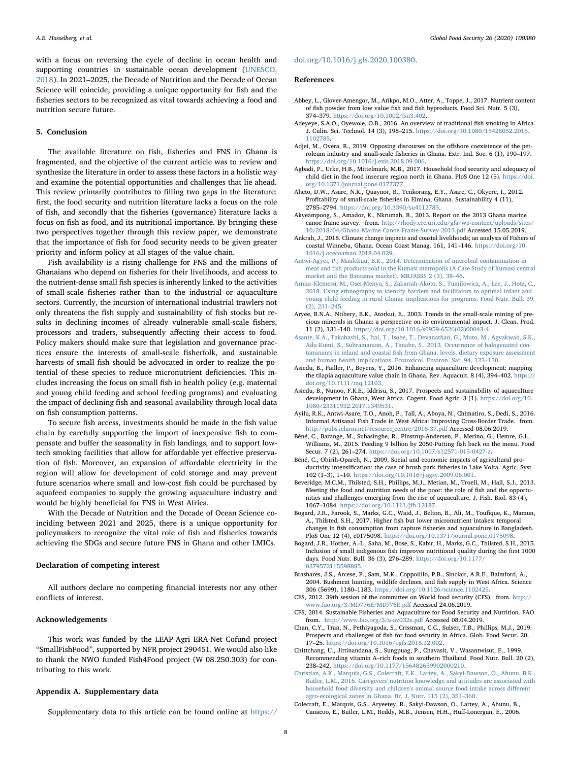with a focus on reversing the cycle of decline in ocean health and supporting countries in sustainable ocean development [\(UNESCO,](#page-10-34) [2018\)](#page-10-34). In 2021–2025, the Decade of Nutrition and the Decade of Ocean Science will coincide, providing a unique opportunity for fish and the fisheries sectors to be recognized as vital towards achieving a food and nutrition secure future.

#### 5. Conclusion

The available literature on fish, fisheries and FNS in Ghana is fragmented, and the objective of the current article was to review and synthesize the literature in order to assess these factors in a holistic way and examine the potential opportunities and challenges that lie ahead. This review primarily contributes to filling two gaps in the literature: first, the food security and nutrition literature lacks a focus on the role of fish, and secondly that the fisheries (governance) literature lacks a focus on fish as food, and its nutritional importance. By bringing these two perspectives together through this review paper, we demonstrate that the importance of fish for food security needs to be given greater priority and inform policy at all stages of the value chain.

Fish availability is a rising challenge for FNS and the millions of Ghanaians who depend on fisheries for their livelihoods, and access to the nutrient-dense small fish species is inherently linked to the activities of small-scale fisheries rather than to the industrial or aquaculture sectors. Currently, the incursion of international industrial trawlers not only threatens the fish supply and sustainability of fish stocks but results in declining incomes of already vulnerable small-scale fishers, processors and traders, subsequently affecting their access to food. Policy makers should make sure that legislation and governance practices ensure the interests of small-scale fisherfolk, and sustainable harvests of small fish should be advocated in order to realize the potential of these species to reduce micronutrient deficiencies. This includes increasing the focus on small fish in health policy (e.g. maternal and young child feeding and school feeding programs) and evaluating the impact of declining fish and seasonal availability through local data on fish consumption patterns.

To secure fish access, investments should be made in the fish value chain by carefully supporting the import of inexpensive fish to compensate and buffer the seasonality in fish landings, and to support lowtech smoking facilities that allow for affordable yet effective preservation of fish. Moreover, an expansion of affordable electricity in the region will allow for development of cold storage and may prevent future scenarios where small and low-cost fish could be purchased by aquafeed companies to supply the growing aquaculture industry and would be highly beneficial for FNS in West Africa.

With the Decade of Nutrition and the Decade of Ocean Science coinciding between 2021 and 2025, there is a unique opportunity for policymakers to recognize the vital role of fish and fisheries towards achieving the SDGs and secure future FNS in Ghana and other LMICs.

#### Declaration of competing interest

All authors declare no competing financial interests nor any other conflicts of interest.

#### Acknowledgements

This work was funded by the LEAP-Agri ERA-Net Cofund project "SmallFishFood", supported by NFR project 290451. We would also like to thank the NWO funded Fish4Food project (W 08.250.303) for contributing to this work.

#### <span id="page-8-2"></span>Appendix A. Supplementary data

Supplementary data to this article can be found online at [https://](https://doi.org/10.1016/j.gfs.2020.100380)

#### [doi.org/10.1016/j.gfs.2020.100380.](https://doi.org/10.1016/j.gfs.2020.100380)

#### References

- <span id="page-8-8"></span>Abbey, L., Glover-Amengor, M., Atikpo, M.O., Atter, A., Toppe, J., 2017. Nutrient content of fish powder from low value fish and fish byproducts. Food Sci. Nutr. 5 (3), 374–379. <https://doi.org/10.1002/fsn3.402>.
- <span id="page-8-6"></span>Adeyeye, S.A.O., Oyewole, O.B., 2016. An overview of traditional fish smoking in Africa. J. Culin. Sci. Technol. 14 (3), 198–215. [https://doi.org/10.1080/15428052.2015.](https://doi.org/10.1080/15428052.2015.1102785) [1102785.](https://doi.org/10.1080/15428052.2015.1102785)
- <span id="page-8-25"></span>Adjei, M., Overa, R., 2019. Opposing discourses on the offshore coexistence of the petroleum industry and small-scale fisheries in Ghana. Extr. Ind. Soc. 6 (1), 190–197. <https://doi.org/10.1016/j.exis.2018.09.006>.
- <span id="page-8-13"></span>Agbadi, P., Urke, H.B., Mittelmark, M.B., 2017. Household food security and adequacy of child diet in the food insecure region north in Ghana. PloS One 12 (5). [https://doi.](https://doi.org/10.1371/journal.pone.0177377) [org/10.1371/journal.pone.0177377](https://doi.org/10.1371/journal.pone.0177377).
- <span id="page-8-10"></span>Aheto, D.W., Asare, N.K., Quaynor, B., Tenkorang, E.Y., Asare, C., Okyere, I., 2012. Profitability of small-scale fisheries in Elmina, Ghana. Sustainability 4 (11), 2785–2794. <https://doi.org/10.3390/su4112785>.
- <span id="page-8-3"></span>Akyeampong, S., Amador, K., Nkrumah, B., 2013. Report on the 2013 Ghana marine canoe frame survey. from. [http://rhody.crc.uri.edu/gfa/wp-content/uploads/sites/](http://rhody.crc.uri.edu/gfa/wp-content/uploads/sites/10/2018/04/Ghana-Marine-Canoe-Frame-Survey-2013.pdf) [10/2018/04/Ghana-Marine-Canoe-Frame-Survey-2013.pdf](http://rhody.crc.uri.edu/gfa/wp-content/uploads/sites/10/2018/04/Ghana-Marine-Canoe-Frame-Survey-2013.pdf) Accessed 15.05.2019.
- <span id="page-8-24"></span>Ankrah, J., 2018. Climate change impacts and coastal livelihoods; an analysis of Fishers of coastal Winneba, Ghana. Ocean Coast Manag. 161, 141–146. [https://doi.org/10.](https://doi.org/10.1016/j.ocecoaman.2018.04.029) [1016/j.ocecoaman.2018.04.029.](https://doi.org/10.1016/j.ocecoaman.2018.04.029)
- <span id="page-8-17"></span>[Antwi-Agyei, P., Maalekuu, B.K., 2014. Determination of microbial contamination in](http://refhub.elsevier.com/S2211-9124(20)30034-1/sref8) meat and fi[sh products sold in the Kumasi metropolis \(A Case Study of Kumasi central](http://refhub.elsevier.com/S2211-9124(20)30034-1/sref8) [market and the Bantama market\). MRJASSS 2 \(3\), 38](http://refhub.elsevier.com/S2211-9124(20)30034-1/sref8)–46.
- <span id="page-8-14"></span>[Armar-Klemesu, M., Osei-Menya, S., Zakariah-Akoto, S., Tumilowicz, A., Lee, J., Hotz, C.,](http://refhub.elsevier.com/S2211-9124(20)30034-1/sref9) [2018. Using ethnography to identify barriers and facilitators to optimal infant and](http://refhub.elsevier.com/S2211-9124(20)30034-1/sref9) [young child feeding in rural Ghana: implications for programs. Food Nutr. Bull. 39](http://refhub.elsevier.com/S2211-9124(20)30034-1/sref9) [\(2\), 231](http://refhub.elsevier.com/S2211-9124(20)30034-1/sref9)–245.
- <span id="page-8-18"></span>Aryee, B.N.A., Ntibery, B.K., Atorkui, E., 2003. Trends in the small-scale mining of precious minerals in Ghana: a perspective on its environmental impact. J. Clean. Prod. 11 (2), 131–140. [https://doi.org/10.1016/s0959-6526\(02\)00043-4](https://doi.org/10.1016/s0959-6526(02)00043-4).
- <span id="page-8-19"></span>[Asante, K.A., Takahashi, S., Itai, T., Isobe, T., Devanathan, G., Muto, M., Agyakwah, S.K.,](http://refhub.elsevier.com/S2211-9124(20)30034-1/sref11) [Adu-Kumi, S., Subramanian, A., Tanabe, S., 2013. Occurrence of halogenated con](http://refhub.elsevier.com/S2211-9124(20)30034-1/sref11)taminants in inland and coastal fi[sh from Ghana: levels, dietary exposure assessment](http://refhub.elsevier.com/S2211-9124(20)30034-1/sref11) [and human health implications. Ecotoxicol. Environ. Saf. 94, 123](http://refhub.elsevier.com/S2211-9124(20)30034-1/sref11)–130.
- <span id="page-8-11"></span>Asiedu, B., Failler, P., Beyens, Y., 2016. Enhancing aquaculture development: mapping the tilapia aquaculture value chain in Ghana. Rev. Aquacult. 8 (4), 394–402. [https://](https://doi.org/10.1111/raq.12103) [doi.org/10.1111/raq.12103](https://doi.org/10.1111/raq.12103).
- <span id="page-8-21"></span>Asiedu, B., Nunoo, F.K.E., Iddrisu, S., 2017. Prospects and sustainability of aquaculture development in Ghana, West Africa. Cogent. Food Agric. 3 (1). [https://doi.org/10.](https://doi.org/10.1080/23311932.2017.1349531) [1080/23311932.2017.1349531.](https://doi.org/10.1080/23311932.2017.1349531)
- <span id="page-8-4"></span>Ayilu, R.K., Antwi-Asare, T.O., Anoh, P., Tall, A., Aboya, N., Chimatiro, S., Dedi, S., 2016. Informal Artisanal Fish Trade in West Africa: Improving Cross-Border Trade. from. [http://pubs.iclarm.net/resource\\_centre/2016-37.pdf](http://pubs.iclarm.net/resource_centre/2016-37.pdf) Accessed 08.06.2019.
- <span id="page-8-1"></span>Béné, C., Barange, M., Subasinghe, R., Pinstrup-Andersen, P., Merino, G., Hemre, G.I., Williams, M., 2015. Feeding 9 billion by 2050-Putting fish back on the menu. Food Secur. 7 (2), 261–274. <https://doi.org/10.1007/s12571-015-0427-z>.
- <span id="page-8-9"></span>Béné, C., Obirih-Opareh, N., 2009. Social and economic impacts of agricultural productivity intensification: the case of brush park fisheries in Lake Volta. Agric. Syst. 102 (1–3), 1–10. [https://doi.org/10.1016/j.agsy.2009.06.001.](https://doi.org/10.1016/j.agsy.2009.06.001)
- <span id="page-8-23"></span>Beveridge, M.C.M., Thilsted, S.H., Phillips, M.J., Metian, M., Troell, M., Hall, S.J., 2013. Meeting the food and nutrition needs of the poor: the role of fish and the opportunities and challenges emerging from the rise of aquaculture. J. Fish. Biol. 83 (4), 1067–1084. <https://doi.org/10.1111/jfb.12187>.
- <span id="page-8-7"></span>Bogard, J.R., Farook, S., Marks, G.C., Waid, J., Belton, B., Ali, M., Toufique, K., Mamun, A., Thilsted, S.H., 2017. Higher fish but lower micronutrient intakes: temporal changes in fish consumption from capture fisheries and aquaculture in Bangladesh. PloS One 12 (4), e0175098. [https://doi.org/10.1371/journal.pone.0175098.](https://doi.org/10.1371/journal.pone.0175098)
- <span id="page-8-16"></span>Bogard, J.R., Hother, A.-L., Saha, M., Bose, S., Kabir, H., Marks, G.C., Thilsted, S.H., 2015. Inclusion of small indigenous fish improves nutritional quality during the first 1000 days. Food Nutr. Bull. 36 (3), 276–289. [https://doi.org/10.1177/](https://doi.org/10.1177/0379572115598885) [0379572115598885.](https://doi.org/10.1177/0379572115598885)
- <span id="page-8-20"></span>Brashares, J.S., Arcese, P., Sam, M.K., Coppolillo, P.B., Sinclair, A.R.E., Balmford, A., 2004. Bushmeat hunting, wildlife declines, and fish supply in West Africa. Science 306 (5699), 1180–1183. <https://doi.org/10.1126/science.1102425>.
- <span id="page-8-0"></span>CFS, 2012. 39th session of the committee on World food security (CFS). from. [http://](http://www.fao.org/3/MD776E/MD776E.pdf) [www.fao.org/3/MD776E/MD776E.pdf](http://www.fao.org/3/MD776E/MD776E.pdf) Accessed 24.06.2019.
- <span id="page-8-26"></span>CFS, 2014. Sustainable Fisheries and Aquaculture for Food Security and Nutrition. FAO from. <http://www.fao.org/3/a-av032e.pdf> Accessed 08.04.2019.
- <span id="page-8-22"></span>Chan, C.Y., Tran, N., Pethiyagoda, S., Crissman, C.C., Sulser, T.B., Phillips, M.J., 2019. Prospects and challenges of fish for food security in Africa. Glob. Food Secur. 20, 17–25. <https://doi.org/10.1016/j.gfs.2018.12.002>.
- <span id="page-8-12"></span>Chittchang, U., Jittinandana, S., Sungpuag, P., Chavasit, V., Wasantwisut, E., 1999. Recommending vitamin A–rich foods in southern Thailand. Food Nutr. Bull. 20 (2), 238–242. [https://doi.org/10.1177/156482659902000210.](https://doi.org/10.1177/156482659902000210)
- <span id="page-8-15"></span>[Christian, A.K., Marquis, G.S., Colecraft, E.K., Lartey, A., Sakyi-Dawson, O., Ahunu, B.K.,](http://refhub.elsevier.com/S2211-9124(20)30034-1/sref25) [Butler, L.M., 2016. Caregivers' nutrition knowledge and attitudes are associated with](http://refhub.elsevier.com/S2211-9124(20)30034-1/sref25) [household food diversity and children's animal source food intake across di](http://refhub.elsevier.com/S2211-9124(20)30034-1/sref25)fferent agro-ecological [zones in Ghana. Br. J. Nutr. 115 \(2\), 351](http://refhub.elsevier.com/S2211-9124(20)30034-1/sref25)–360.
- <span id="page-8-5"></span>Colecraft, E., Marquis, G.S., Aryeetey, R., Sakyi-Dawson, O., Lartey, A., Ahunu, B., Canacoo, E., Butler, L.M., Reddy, M.B., Jensen, H.H., Huff-Lonergan, E., 2006.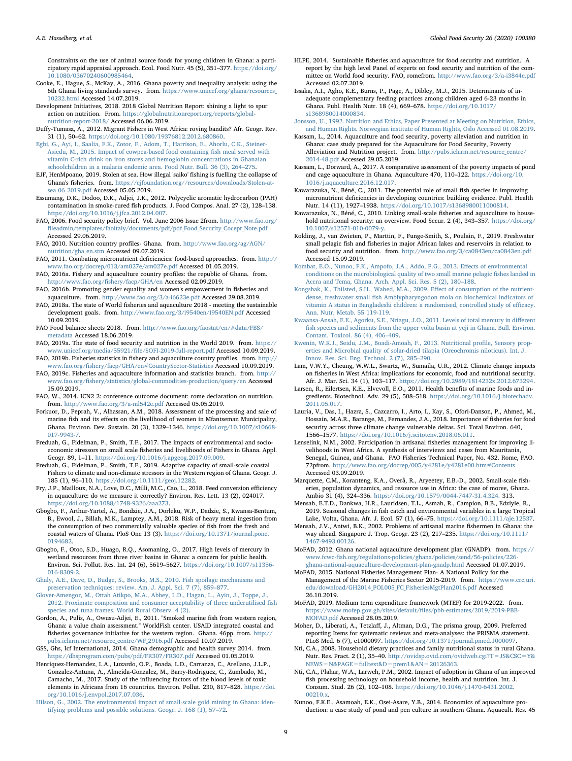Constraints on the use of animal source foods for young children in Ghana: a participatory rapid appraisal approach. Ecol. Food Nutr. 45 (5), 351–377. [https://doi.org/](https://doi.org/10.1080/03670240600985464) [10.1080/03670240600985464](https://doi.org/10.1080/03670240600985464).

- <span id="page-9-25"></span>Cooke, E., Hague, S., McKay, A., 2016. Ghana poverty and inequality analysis: using the 6th Ghana living standards survey. from. [https://www.unicef.org/ghana/resources\\_](https://www.unicef.org/ghana/resources_10232.html) [10232.html](https://www.unicef.org/ghana/resources_10232.html) Accessed 14.07.2019.
- <span id="page-9-1"></span>Development Initiatives, 2018. 2018 Global Nutrition Report: shining a light to spur action on nutrition. From. [https://globalnutritionreport.org/reports/global](https://globalnutritionreport.org/reports/global-nutrition-report-2018/)[nutrition-report-2018/](https://globalnutritionreport.org/reports/global-nutrition-report-2018/) Accessed 06.06.2019.
- <span id="page-9-45"></span>Duffy-Tumasz, A., 2012. Migrant Fishers in West Africa: roving bandits? Afr. Geogr. Rev. 31 (1), 50–62. [https://doi.org/10.1080/19376812.2012.680860.](https://doi.org/10.1080/19376812.2012.680860)
- <span id="page-9-31"></span>[Egbi, G., Ayi, I., Saalia, F.K., Zotor, F., Adom, T., Harrison, E., Ahorlu, C.K., Steiner-](http://refhub.elsevier.com/S2211-9124(20)30034-1/sref30)[Asiedu, M., 2015. Impact of cowpea-based food containing](http://refhub.elsevier.com/S2211-9124(20)30034-1/sref30) fish meal served with [vitamin C-rich drink on iron stores and hemoglobin concentrations in Ghanaian](http://refhub.elsevier.com/S2211-9124(20)30034-1/sref30) [schoolchildren in a malaria endemic area. Food Nutr. Bull. 36 \(3\), 264](http://refhub.elsevier.com/S2211-9124(20)30034-1/sref30)–275.
- <span id="page-9-11"></span>EJF, HenMpoano, 2019. Stolen at sea. How illegal 'saiko' fishing is fuelling the collapse of Ghana's fisheries. from. [https://ejfoundation.org//resources/downloads/Stolen-at](https://ejfoundation.org//resources/downloads/Stolen-at-sea_06_2019.pdf)[sea\\_06\\_2019.pdf](https://ejfoundation.org//resources/downloads/Stolen-at-sea_06_2019.pdf) Accessed 05.05.2019.
- <span id="page-9-41"></span>Essumang, D.K., Dodoo, D.K., Adjei, J.K., 2012. Polycyclic aromatic hydrocarbon (PAH) contamination in smoke-cured fish products. J. Food Compos. Anal. 27 (2), 128–138. [https://doi.org/10.1016/j.jfca.2012.04.007.](https://doi.org/10.1016/j.jfca.2012.04.007)
- <span id="page-9-2"></span>FAO, 2006. Food security policy brief. Vol. June 2006 Issue 2from. [http://www.fao.org/](http://www.fao.org/fileadmin/templates/faoitaly/documents/pdf/pdf_Food_Security_Cocept_Note.pdf) fi[leadmin/templates/faoitaly/documents/pdf/pdf\\_Food\\_Security\\_Cocept\\_Note.pdf](http://www.fao.org/fileadmin/templates/faoitaly/documents/pdf/pdf_Food_Security_Cocept_Note.pdf) Accessed 29.06.2019.
- <span id="page-9-15"></span>FAO, 2010. Nutrition country profiles- Ghana. from. [http://www.fao.org/ag/AGN/](http://www.fao.org/ag/AGN/nutrition/gha_en.stm) [nutrition/gha\\_en.stm](http://www.fao.org/ag/AGN/nutrition/gha_en.stm) Accessed 09.07.2019.
- <span id="page-9-4"></span>FAO, 2011. Combating micronutrient deficiencies: food-based approaches. from. [http://](http://www.fao.org/docrep/013/am027e/am027e.pdf) [www.fao.org/docrep/013/am027e/am027e.pdf](http://www.fao.org/docrep/013/am027e/am027e.pdf) Accessed 01.05.2019.
- <span id="page-9-5"></span>FAO, 2016a. Fishery and aquaculture country profiles: the republic of Ghana. from. [http://www.fao.org/](http://www.fao.org/fishery/facp/GHA/en)fishery/facp/GHA/en Accessed 02.09.2019.
- <span id="page-9-20"></span>FAO, 2016b. Promoting gender equality and women's empowerment in fisheries and aquaculture. from. <http://www.fao.org/3/a-i6623e.pdf> Accessed 29.08.2019.
- <span id="page-9-6"></span>FAO, 2018a. The state of World fisheries and aquaculture 2018 - meeting the sustainable development goals. from. <http://www.fao.org/3/i9540en/I9540EN.pdf> Accessed 10.09.2019.
- <span id="page-9-19"></span>FAO Food balance sheets 2018. from. [http://www.fao.org/faostat/en/#data/FBS/](http://www.fao.org/faostat/en/#data/FBS/metadata) [metadata](http://www.fao.org/faostat/en/#data/FBS/metadata) Accessed 18.06.2019.
- <span id="page-9-0"></span>FAO, 2019a. The state of food security and nutrition in the World 2019. from. [https://](https://www.unicef.org/media/55921/file/SOFI-2019-full-report.pdf) [www.unicef.org/media/55921/](https://www.unicef.org/media/55921/file/SOFI-2019-full-report.pdf)file/SOFI-2019-full-report.pdf Accessed 10.09.2019. FAO, 2019b. Fisheries statistics in fishery and aquaculture country profiles. from. [http://](http://www.fao.org/fishery/facp/GHA/en#CountrySector-Statistics)
- <span id="page-9-12"></span><span id="page-9-10"></span>www.fao.org/fi[shery/facp/GHA/en#CountrySector-Statistics](http://www.fao.org/fishery/facp/GHA/en#CountrySector-Statistics) Accessed 10.09.2019. FAO, 2019c. Fisheries and aquaculture information and statistics branch. from. [http://](http://www.fao.org/fishery/statistics/global-commodities-production/query/en)
- www.fao.org/fi[shery/statistics/global-commodities-production/query/en](http://www.fao.org/fishery/statistics/global-commodities-production/query/en) Accessed 15.09.2019.
- <span id="page-9-54"></span>FAO, W., 2014. ICN2 2: conference outcome document: rome declaration on nutrition. from. <http://www.fao.org/3/a-ml542e.pdf> Accessed 05.05.2019.
- <span id="page-9-27"></span>Forkuor, D., Peprah, V., Alhassan, A.M., 2018. Assessment of the processing and sale of marine fish and its effects on the livelihood of women in Mfantseman Municipality, Ghana. Environ. Dev. Sustain. 20 (3), 1329–1346. [https://doi.org/10.1007/s10668-](https://doi.org/10.1007/s10668-017-9943-7) [017-9943-7](https://doi.org/10.1007/s10668-017-9943-7).
- <span id="page-9-52"></span>Freduah, G., Fidelman, P., Smith, T.F., 2017. The impacts of environmental and socioeconomic stressors on small scale fisheries and livelihoods of Fishers in Ghana. Appl. Geogr. 89, 1–11. <https://doi.org/10.1016/j.apgeog.2017.09.009>.
- <span id="page-9-53"></span>Freduah, G., Fidelman, P., Smith, T.F., 2019. Adaptive capacity of small-scale coastal Fishers to climate and non-climate stressors in the Western region of Ghana. Geogr. J. 185 (1), 96–110. <https://doi.org/10.1111/geoj.12282>.
- <span id="page-9-50"></span>Fry, J.P., Mailloux, N.A., Love, D.C., Milli, M.C., Cao, L., 2018. Feed conversion efficiency in aquaculture: do we measure it correctly? Environ. Res. Lett. 13 (2), 024017. [https://doi.org/10.1088/1748-9326/aaa273.](https://doi.org/10.1088/1748-9326/aaa273)
- <span id="page-9-39"></span>Gbogbo, F., Arthur-Yartel, A., Bondzie, J.A., Dorleku, W.P., Dadzie, S., Kwansa-Bentum, B., Ewool, J., Billah, M.K., Lamptey, A.M., 2018. Risk of heavy metal ingestion from the consumption of two commercially valuable species of fish from the fresh and coastal waters of Ghana. PloS One 13 (3). [https://doi.org/10.1371/journal.pone.](https://doi.org/10.1371/journal.pone.0194682) [0194682.](https://doi.org/10.1371/journal.pone.0194682)
- <span id="page-9-38"></span>Gbogbo, F., Otoo, S.D., Huago, R.Q., Asomaning, O., 2017. High levels of mercury in wetland resources from three river basins in Ghana: a concern for public health. Environ. Sci. Pollut. Res. Int. 24 (6), 5619–5627. [https://doi.org/10.1007/s11356-](https://doi.org/10.1007/s11356-016-8309-2) [016-8309-2](https://doi.org/10.1007/s11356-016-8309-2).
- <span id="page-9-33"></span>[Ghaly, A.E., Dave, D., Budge, S., Brooks, M.S., 2010. Fish spoilage mechanisms and](http://refhub.elsevier.com/S2211-9124(20)30034-1/sref50) [preservation techniques: review. Am. J. Appl. Sci. 7 \(7\), 859](http://refhub.elsevier.com/S2211-9124(20)30034-1/sref50)–877.
- <span id="page-9-32"></span>[Glover-Amengor, M., Ottah Atikpo, M.A., Abbey, L.D., Hagan, L., Ayin, J., Toppe, J.,](http://refhub.elsevier.com/S2211-9124(20)30034-1/sref51) [2012. Proximate composition and consumer acceptability of three underutilised](http://refhub.elsevier.com/S2211-9124(20)30034-1/sref51) fish [species and tuna frames. World Rural Observ. 4 \(2\)](http://refhub.elsevier.com/S2211-9124(20)30034-1/sref51).
- <span id="page-9-26"></span>Gordon, A., Pulis, A., Owusu-Adjei, E., 2011. "Smoked marine fish from western region, Ghana: a value chain assessment." WorldFish center. USAID integrated coastal and fisheries governance initiative for the western region. Ghana. 46pp. from. [http://](http://pubs.iclarm.net/resource_centre/WF_2916.pdf) [pubs.iclarm.net/resource\\_centre/WF\\_2916.pdf](http://pubs.iclarm.net/resource_centre/WF_2916.pdf) Accessed 10.07.2019.

<span id="page-9-7"></span>GSS, Ghs, Icf International, 2014. Ghana demographic and health survey 2014. from. <https://dhsprogram.com/pubs/pdf/FR307/FR307.pdf> Accessed 01.05.2019.

- <span id="page-9-40"></span>Henriquez-Hernandez, L.A., Luzardo, O.P., Boada, L.D., Carranza, C., Arellano, J.L.P., Gonzalez-Antuna, A., Almeida-Gonzalez, M., Barry-Rodriguez, C., Zumbado, M., Camacho, M., 2017. Study of the influencing factors of the blood levels of toxic elements in Africans from 16 countries. Environ. Pollut. 230, 817–828. [https://doi.](https://doi.org/10.1016/j.envpol.2017.07.036) [org/10.1016/j.envpol.2017.07.036.](https://doi.org/10.1016/j.envpol.2017.07.036)
- <span id="page-9-36"></span>Hilson, [G., 2002. The environmental impact of small](http://refhub.elsevier.com/S2211-9124(20)30034-1/sref55)-scale gold mining in Ghana: iden[tifying problems and possible solutions. Geogr. J. 168 \(1\), 57](http://refhub.elsevier.com/S2211-9124(20)30034-1/sref55)–72.
- <span id="page-9-18"></span>HLPE, 2014. "Sustainable fisheries and aquaculture for food security and nutrition." A report by the high level Panel of experts on food security and nutrition of the committee on World food security. FAO, romefrom. <http://www.fao.org/3/a-i3844e.pdf> Accessed 02.07.2019.
- <span id="page-9-30"></span>Issaka, A.I., Agho, K.E., Burns, P., Page, A., Dibley, M.J., 2015. Determinants of inadequate complementary feeding practices among children aged 6-23 months in Ghana. Publ. Health Nutr. 18 (4), 669–678. [https://doi.org/10.1017/](https://doi.org/10.1017/s1368980014000834) [s1368980014000834.](https://doi.org/10.1017/s1368980014000834)

<span id="page-9-3"></span>[Jonsson, U., 1992. Nutrition and Ethics, Paper Presented at Meeting on Nutrition, Ethics,](http://refhub.elsevier.com/S2211-9124(20)30034-1/sref58) [and Human Rights. Norwegian institute of Human Rights, Oslo Accessed 01.08.2019.](http://refhub.elsevier.com/S2211-9124(20)30034-1/sref58)

- <span id="page-9-24"></span>Kassam, L., 2014. Aquaculture and food security, poverty alleviation and nutrition in Ghana: case study prepared for the Aquaculture for Food Security, Poverty Alleviation and Nutrition project. from. [http://pubs.iclarm.net/resource\\_centre/](http://pubs.iclarm.net/resource_centre/2014-48.pdf) [2014-48.pdf](http://pubs.iclarm.net/resource_centre/2014-48.pdf) Accessed 29.05.2019.
- <span id="page-9-13"></span>Kassam, L., Dorward, A., 2017. A comparative assessment of the poverty impacts of pond and cage aquaculture in Ghana. Aquaculture 470, 110–122. [https://doi.org/10.](https://doi.org/10.1016/j.aquaculture.2016.12.017) [1016/j.aquaculture.2016.12.017.](https://doi.org/10.1016/j.aquaculture.2016.12.017)
- <span id="page-9-16"></span>Kawarazuka, N., Béné, C., 2011. The potential role of small fish species in improving micronutrient deficiencies in developing countries: building evidence. Publ. Health Nutr. 14 (11), 1927–1938. <https://doi.org/10.1017/s1368980011000814>.
- <span id="page-9-28"></span>Kawarazuka, N., Béné, C., 2010. Linking small-scale fisheries and aquaculture to household nutritional security: an overview. Food Secur. 2 (4), 343–357. [https://doi.org/](https://doi.org/10.1007/s12571-010-0079-y) [10.1007/s12571-010-0079-y](https://doi.org/10.1007/s12571-010-0079-y).
- <span id="page-9-48"></span>Kolding, J., van Zwieten, P., Marttin, F., Funge-Smith, S., Poulain, F., 2019. Freshwater small pelagic fish and fisheries in major African lakes and reservoirs in relation to food security and nutrition. from. <http://www.fao.org/3/ca0843en/ca0843en.pdf> Accessed 15.09.2019.
- <span id="page-9-34"></span>[Kombat, E.O., Nunoo, F.K., Ampofo, J.A., Addo, P.G., 2013. E](http://refhub.elsevier.com/S2211-9124(20)30034-1/sref64)ffects of environmental [conditions on the microbiological quality of two small marine pelagic](http://refhub.elsevier.com/S2211-9124(20)30034-1/sref64) fishes landed in [Accra and Tema, Ghana. Arch. Appl. Sci. Res. 5 \(2\), 180](http://refhub.elsevier.com/S2211-9124(20)30034-1/sref64)–188.
- <span id="page-9-29"></span>[Kongsbak, K., Thilsted, S.H., Wahed, M.A., 2009. E](http://refhub.elsevier.com/S2211-9124(20)30034-1/sref65)ffect of consumption of the nutrientdense, freshwater small fi[sh Amblypharyngodon mola on biochemical indicators of](http://refhub.elsevier.com/S2211-9124(20)30034-1/sref65) [vitamin A status in Bangladeshi children: a randomised, controlled study of e](http://refhub.elsevier.com/S2211-9124(20)30034-1/sref65)fficacy. [Ann. Nutr. Metab. 55 119-119](http://refhub.elsevier.com/S2211-9124(20)30034-1/sref65).
- <span id="page-9-37"></span>[Kwaansa-Ansah, E.E., Agorku, S.E., Nriagu, J.O., 2011. Levels of total mercury in di](http://refhub.elsevier.com/S2211-9124(20)30034-1/sref66)fferent fi[sh species and sediments from the upper volta basin at yeji in Ghana. Bull. Environ.](http://refhub.elsevier.com/S2211-9124(20)30034-1/sref66) [Contam. Toxicol. 86 \(4\), 406](http://refhub.elsevier.com/S2211-9124(20)30034-1/sref66)–409.
- <span id="page-9-35"></span>[Kwenin, W.K.J., Seidu, J.M., Boadi-Amoah, F., 2013. Nutritional pro](http://refhub.elsevier.com/S2211-9124(20)30034-1/sref67)file, Sensory prop[erties and Microbial quality of solar-dried tilapia \(Oreochromis niloticus\). Int. J.](http://refhub.elsevier.com/S2211-9124(20)30034-1/sref67) Innov. [Res. Sci. Eng. Technol. 2 \(7\), 285](http://refhub.elsevier.com/S2211-9124(20)30034-1/sref67)–290.
- <span id="page-9-51"></span>Lam, V.W.Y., Cheung, W.W.L., Swartz, W., Sumaila, U.R., 2012. Climate change impacts on fisheries in West Africa: implications for economic, food and nutritional security. Afr. J. Mar. Sci. 34 (1), 103–117. [https://doi.org/10.2989/1814232x.2012.673294.](https://doi.org/10.2989/1814232x.2012.673294)
- <span id="page-9-17"></span>Larsen, R., Eilertsen, K.E., Elvevoll, E.O., 2011. Health benefits of marine foods and ingredients. Biotechnol. Adv. 29 (5), 508–518. [https://doi.org/10.1016/j.biotechadv.](https://doi.org/10.1016/j.biotechadv.2011.05.017) [2011.05.017](https://doi.org/10.1016/j.biotechadv.2011.05.017).
- <span id="page-9-9"></span>Lauria, V., Das, I., Hazra, S., Cazcarro, I., Arto, I., Kay, S., Ofori-Danson, P., Ahmed, M., Hossain, M.A.R., Barange, M., Fernandes, J.A., 2018. Importance of fisheries for food security across three climate change vulnerable deltas. Sci. Total Environ. 640, 1566–1577. [https://doi.org/10.1016/j.scitotenv.2018.06.011.](https://doi.org/10.1016/j.scitotenv.2018.06.011)
- <span id="page-9-43"></span>Lenselink, N.M., 2002. Participation in artisanal fisheries management for improving livelihoods in West Africa. A synthesis of interviews and cases from Mauritania, Senegal, Guinea, and Ghana. FAO Fisheries Technical Paper, No. 432. Rome, FAO. 72pfrom. <http://www.fao.org/docrep/005/y4281e/y4281e00.htm#Contents> Accessed 03.09.2019.
- <span id="page-9-21"></span>Marquette, C.M., Koranteng, K.A., Overå, R., Aryeetey, E.B.-D., 2002. Small-scale fisheries, population dynamics, and resource use in Africa: the case of moree, Ghana. Ambio 31 (4), 324–336. [https://doi.org/10.1579/0044-7447-31.4.324.](https://doi.org/10.1579/0044-7447-31.4.324) 313.
- <span id="page-9-46"></span>Mensah, E.T.D., Dankwa, H.R., Lauridsen, T.L., Asmah, R., Campion, B.B., Edziyie, R., 2019. Seasonal changes in fish catch and environmental variables in a large Tropical Lake, Volta, Ghana. Afr. J. Ecol. 57 (1), 66–75. <https://doi.org/10.1111/aje.12537>.
- <span id="page-9-44"></span>Mensah, J.V., Antwi, B.K., 2002. Problems of artisanal marine fishermen in Ghana: the way ahead. Singapore J. Trop. Geogr. 23 (2), 217–235. [https://doi.org/10.1111/](https://doi.org/10.1111/1467-9493.00126) [1467-9493.00126](https://doi.org/10.1111/1467-9493.00126).
- <span id="page-9-49"></span>MoFAD, 2012. Ghana national aquaculture development plan (GNADP). from. [https://](https://www.fcwc-fish.org/regulations-policies/ghana/policies/send/56-policies/226-ghana-national-aquaculture-development-plan-gnadp.html) www.fcwc-fi[sh.org/regulations-policies/ghana/policies/send/56-policies/226](https://www.fcwc-fish.org/regulations-policies/ghana/policies/send/56-policies/226-ghana-national-aquaculture-development-plan-gnadp.html) [ghana-national-aquaculture-development-plan-gnadp.html](https://www.fcwc-fish.org/regulations-policies/ghana/policies/send/56-policies/226-ghana-national-aquaculture-development-plan-gnadp.html) Accessed 01.07.2019.
- <span id="page-9-47"></span>MoFAD, 2015. National Fisheries Management Plan- A National Policy for the Management of the Marine Fisheries Sector 2015-2019. from. [https://www.crc.uri.](https://www.crc.uri.edu/download/GH2014_POL005_FC_FisheriesMgtPlan2016.pdf) [edu/download/GH2014\\_POL005\\_FC\\_FisheriesMgtPlan2016.pdf](https://www.crc.uri.edu/download/GH2014_POL005_FC_FisheriesMgtPlan2016.pdf) Accessed 26.10.2019.
- <span id="page-9-23"></span>MoFAD, 2019. Medium term expenditure framework (MTEF) for 2019-2022. from. [https://www.mofep.gov.gh/sites/default/](https://www.mofep.gov.gh/sites/default/files/pbb-estimates/2019/2019-PBB-MOFAD.pdf)files/pbb-estimates/2019/2019-PBB-[MOFAD.pdf](https://www.mofep.gov.gh/sites/default/files/pbb-estimates/2019/2019-PBB-MOFAD.pdf) Accessed 28.05.2019.
- <span id="page-9-8"></span>Moher, D., Liberati, A., Tetzlaff, J., Altman, D.G., The prisma group, 2009. Preferred reporting Items for systematic reviews and meta-analyses: the PRISMA statement. PLoS Med. 6 (7), e1000097. <https://doi.org/10.1371/journal.pmed.1000097>.
- <span id="page-9-14"></span>Nti, C.A., 2008. Household dietary practices and family nutritional status in rural Ghana. Nutr. Res. Pract. 2 (1), 35–40. [http://ovidsp.ovid.com/ovidweb.cgi?T=JS&CSC=Y&](http://ovidsp.ovid.com/ovidweb.cgi?T=JS&CSC=Y&NEWS=N&PAGE=fulltext&D=prem1&AN=20126363) [NEWS=N&PAGE=fulltext&D=prem1&AN=20126363](http://ovidsp.ovid.com/ovidweb.cgi?T=JS&CSC=Y&NEWS=N&PAGE=fulltext&D=prem1&AN=20126363).
- <span id="page-9-42"></span>Nti, C.A., Plahar, W.A., Larweh, P.M., 2002. Impact of adoption in Ghana of an improved fish processing technology on household income, health and nutrition. Int. J. Consum. Stud. 26 (2), 102–108. [https://doi.org/10.1046/j.1470-6431.2002.](https://doi.org/10.1046/j.1470-6431.2002.00210.x) 00210.x
- <span id="page-9-22"></span>Nunoo, F.K.E., Asamoah, E.K., Osei-Asare, Y.B., 2014. Economics of aquaculture production: a case study of pond and pen culture in southern Ghana. Aquacult. Res. 45